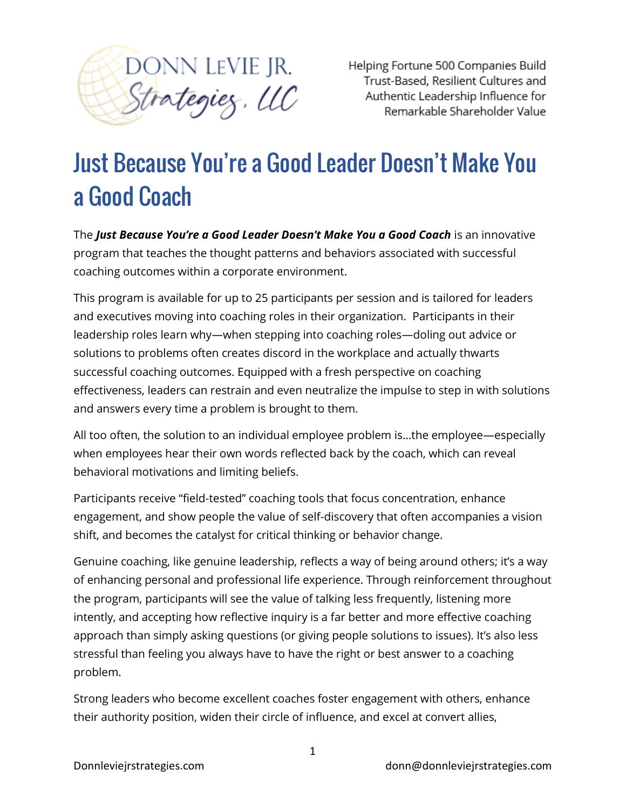

Helping Fortune 500 Companies Build Trust-Based, Resilient Cultures and Authentic Leadership Influence for Remarkable Shareholder Value

# Just Because You're a Good Leader Doesn't Make You a Good Coach

The *Just Because You're a Good Leader Doesn't Make You a Good Coach* is an innovative program that teaches the thought patterns and behaviors associated with successful coaching outcomes within a corporate environment.

This program is available for up to 25 participants per session and is tailored for leaders and executives moving into coaching roles in their organization. Participants in their leadership roles learn why—when stepping into coaching roles—doling out advice or solutions to problems often creates discord in the workplace and actually thwarts successful coaching outcomes. Equipped with a fresh perspective on coaching effectiveness, leaders can restrain and even neutralize the impulse to step in with solutions and answers every time a problem is brought to them.

All too often, the solution to an individual employee problem is…the employee—especially when employees hear their own words reflected back by the coach, which can reveal behavioral motivations and limiting beliefs.

Participants receive "field-tested" coaching tools that focus concentration, enhance engagement, and show people the value of self-discovery that often accompanies a vision shift, and becomes the catalyst for critical thinking or behavior change.

Genuine coaching, like genuine leadership, reflects a way of being around others; it's a way of enhancing personal and professional life experience. Through reinforcement throughout the program, participants will see the value of talking less frequently, listening more intently, and accepting how reflective inquiry is a far better and more effective coaching approach than simply asking questions (or giving people solutions to issues). It's also less stressful than feeling you always have to have the right or best answer to a coaching problem.

Strong leaders who become excellent coaches foster engagement with others, enhance their authority position, widen their circle of influence, and excel at convert allies,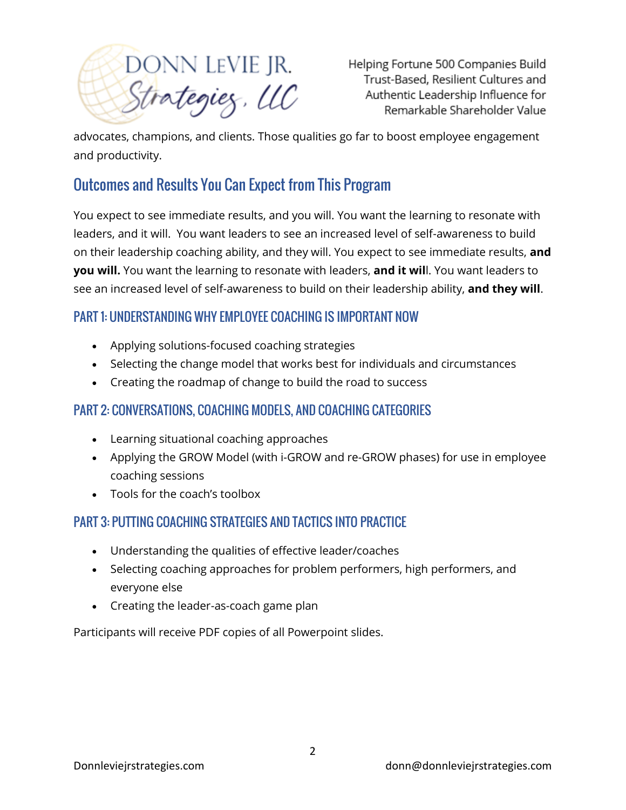DONN LEVIE JR.<br>Strategiez, LLC

Helping Fortune 500 Companies Build Trust-Based, Resilient Cultures and Authentic Leadership Influence for Remarkable Shareholder Value

advocates, champions, and clients. Those qualities go far to boost employee engagement and productivity.

## Outcomes and Results You Can Expect from This Program

You expect to see immediate results, and you will. You want the learning to resonate with leaders, and it will. You want leaders to see an increased level of self-awareness to build on their leadership coaching ability, and they will. You expect to see immediate results, **and you will.** You want the learning to resonate with leaders, **and it wil**l. You want leaders to see an increased level of self-awareness to build on their leadership ability, **and they will**.

### PART 1: UNDERSTANDING WHY EMPLOYEE COACHING IS IMPORTANT NOW

- Applying solutions-focused coaching strategies
- Selecting the change model that works best for individuals and circumstances
- Creating the roadmap of change to build the road to success

### PART 2: CONVERSATIONS, COACHING MODELS, AND COACHING CATEGORIES

- Learning situational coaching approaches
- Applying the GROW Model (with i-GROW and re-GROW phases) for use in employee coaching sessions
- Tools for the coach's toolbox

### PART 3: PUTTING COACHING STRATEGIES AND TACTICS INTO PRACTICE

- Understanding the qualities of effective leader/coaches
- Selecting coaching approaches for problem performers, high performers, and everyone else
- Creating the leader-as-coach game plan

Participants will receive PDF copies of all Powerpoint slides.